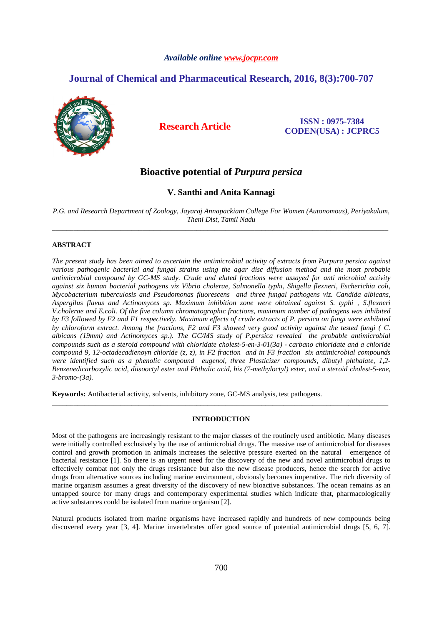## *Available online www.jocpr.com*

# **Journal of Chemical and Pharmaceutical Research, 2016, 8(3):700-707**



**Research Article ISSN : 0975-7384 CODEN(USA) : JCPRC5**

# **Bioactive potential of** *Purpura persica*

## **V. Santhi and Anita Kannagi**

*P.G. and Research Department of Zoology, Jayaraj Annapackiam College For Women (Autonomous), Periyakulum, Theni Dist, Tamil Nadu*  \_\_\_\_\_\_\_\_\_\_\_\_\_\_\_\_\_\_\_\_\_\_\_\_\_\_\_\_\_\_\_\_\_\_\_\_\_\_\_\_\_\_\_\_\_\_\_\_\_\_\_\_\_\_\_\_\_\_\_\_\_\_\_\_\_\_\_\_\_\_\_\_\_\_\_\_\_\_\_\_\_\_\_\_\_\_\_\_\_\_\_\_\_

## **ABSTRACT**

*The present study has been aimed to ascertain the antimicrobial activity of extracts from Purpura persica against various pathogenic bacterial and fungal strains using the agar disc diffusion method and the most probable antimicrobial compound by GC-MS study. Crude and eluted fractions were assayed for anti microbial activity against six human bacterial pathogens viz Vibrio cholerae, Salmonella typhi, Shigella flexneri, Escherichia coli, Mycobacterium tuberculosis and Pseudomonas fluorescens and three fungal pathogens viz. Candida albicans, Aspergilus flavus and Actinomyces sp. Maximum inhibition zone were obtained against S. typhi , S.flexneri V.cholerae and E.coli. Of the five column chromatographic fractions, maximum number of pathogens was inhibited by F3 followed by F2 and F1 respectively. Maximum effects of crude extracts of P. persica on fungi were exhibited by chloroform extract. Among the fractions, F2 and F3 showed very good activity against the tested fungi ( C. albicans (19mm) and Actinomyces sp.). The GC/MS study of P.persica revealed the probable antimicrobial compounds such as a steroid compound with chloridate cholest-5-en-3-01(3a) - carbano chloridate and a chloride compound 9, 12-octadecadienoyn chloride (z, z), in F2 fraction and in F3 fraction six antimicrobial compounds were identified such as a phenolic compound eugenol, three Plasticizer compounds, dibutyl phthalate, 1,2- Benzenedicarboxylic acid, diisooctyl ester and Phthalic acid, bis (7-methyloctyl) ester, and a steroid cholest-5-ene, 3-bromo-(3a).* 

**Keywords:** Antibacterial activity, solvents, inhibitory zone, GC-MS analysis, test pathogens.

## **INTRODUCTION**

\_\_\_\_\_\_\_\_\_\_\_\_\_\_\_\_\_\_\_\_\_\_\_\_\_\_\_\_\_\_\_\_\_\_\_\_\_\_\_\_\_\_\_\_\_\_\_\_\_\_\_\_\_\_\_\_\_\_\_\_\_\_\_\_\_\_\_\_\_\_\_\_\_\_\_\_\_\_\_\_\_\_\_\_\_\_\_\_\_\_\_\_\_

Most of the pathogens are increasingly resistant to the major classes of the routinely used antibiotic. Many diseases were initially controlled exclusively by the use of antimicrobial drugs. The massive use of antimicrobial for diseases control and growth promotion in animals increases the selective pressure exerted on the natural emergence of bacterial resistance [1]. So there is an urgent need for the discovery of the new and novel antimicrobial drugs to effectively combat not only the drugs resistance but also the new disease producers, hence the search for active drugs from alternative sources including marine environment, obviously becomes imperative. The rich diversity of marine organism assumes a great diversity of the discovery of new bioactive substances. The ocean remains as an untapped source for many drugs and contemporary experimental studies which indicate that, pharmacologically active substances could be isolated from marine organism [2].

Natural products isolated from marine organisms have increased rapidly and hundreds of new compounds being discovered every year [3, 4]. Marine invertebrates offer good source of potential antimicrobial drugs [5, 6, 7].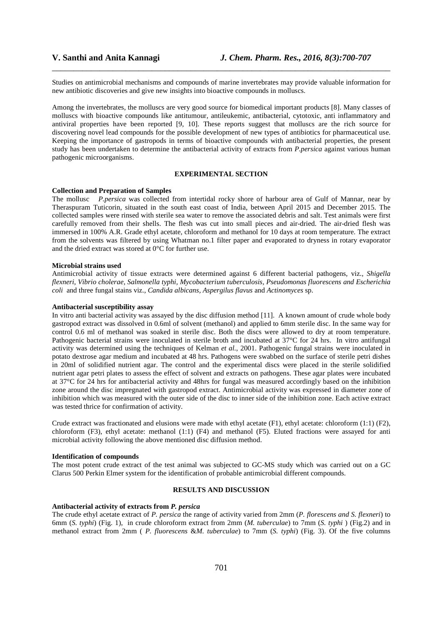Studies on antimicrobial mechanisms and compounds of marine invertebrates may provide valuable information for new antibiotic discoveries and give new insights into bioactive compounds in molluscs.

\_\_\_\_\_\_\_\_\_\_\_\_\_\_\_\_\_\_\_\_\_\_\_\_\_\_\_\_\_\_\_\_\_\_\_\_\_\_\_\_\_\_\_\_\_\_\_\_\_\_\_\_\_\_\_\_\_\_\_\_\_\_\_\_\_\_\_\_\_\_\_\_\_\_\_\_\_\_

Among the invertebrates, the molluscs are very good source for biomedical important products [8]. Many classes of molluscs with bioactive compounds like antitumour, antileukemic, antibacterial, cytotoxic, anti inflammatory and antiviral properties have been reported [9, 10]. These reports suggest that molluscs are the rich source for discovering novel lead compounds for the possible development of new types of antibiotics for pharmaceutical use. Keeping the importance of gastropods in terms of bioactive compounds with antibacterial properties, the present study has been undertaken to determine the antibacterial activity of extracts from *P.persica* against various human pathogenic microorganisms.

## **EXPERIMENTAL SECTION**

#### **Collection and Preparation of Samples**

The mollusc *P.persica* was collected from intertidal rocky shore of harbour area of Gulf of Mannar, near by Theraspuram Tuticorin, situated in the south east coast of India, between April 2015 and December 2015. The collected samples were rinsed with sterile sea water to remove the associated debris and salt. Test animals were first carefully removed from their shells. The flesh was cut into small pieces and air-dried. The air-dried flesh was immersed in 100% A.R. Grade ethyl acetate, chloroform and methanol for 10 days at room temperature. The extract from the solvents was filtered by using Whatman no.1 filter paper and evaporated to dryness in rotary evaporator and the dried extract was stored at 0°C for further use.

### **Microbial strains used**

Antimicrobial activity of tissue extracts were determined against 6 different bacterial pathogens, viz., *Shigella flexneri*, *Vibrio cholerae*, *Salmonella typhi, Mycobacterium tuberculosis, Pseudomonas fluorescens and Escherichia coli* and three fungal stains viz., *Candida albicans, Aspergilus flavus* and *Actinomyces* sp.

### **Antibacterial susceptibility assay**

In vitro anti bacterial activity was assayed by the disc diffusion method [11]. A known amount of crude whole body gastropod extract was dissolved in 0.6ml of solvent (methanol) and applied to 6mm sterile disc. In the same way for control 0.6 ml of methanol was soaked in sterile disc. Both the discs were allowed to dry at room temperature. Pathogenic bacterial strains were inoculated in sterile broth and incubated at 37°C for 24 hrs. In vitro antifungal activity was determined using the techniques of Kelman *et al.,* 2001. Pathogenic fungal strains were inoculated in potato dextrose agar medium and incubated at 48 hrs. Pathogens were swabbed on the surface of sterile petri dishes in 20ml of solidified nutrient agar. The control and the experimental discs were placed in the sterile solidified nutrient agar petri plates to assess the effect of solvent and extracts on pathogens. These agar plates were incubated at 37°C for 24 hrs for antibacterial activity and 48hrs for fungal was measured accordingly based on the inhibition zone around the disc impregnated with gastropod extract. Antimicrobial activity was expressed in diameter zone of inhibition which was measured with the outer side of the disc to inner side of the inhibition zone. Each active extract was tested thrice for confirmation of activity.

Crude extract was fractionated and elusions were made with ethyl acetate (F1), ethyl acetate: chloroform (1:1) (F2), chloroform (F3), ethyl acetate: methanol (1:1) (F4) and methanol (F5). Eluted fractions were assayed for anti microbial activity following the above mentioned disc diffusion method.

### **Identification of compounds**

The most potent crude extract of the test animal was subjected to GC-MS study which was carried out on a GC Clarus 500 Perkin Elmer system for the identification of probable antimicrobial different compounds.

### **RESULTS AND DISCUSSION**

#### **Antibacterial activity of extracts from** *P. persica*

The crude ethyl acetate extract of *P. persica* the range of activity varied from 2mm (*P. florescens and S. flexneri*) to 6mm (*S. typhi*) (Fig. 1), in crude chloroform extract from 2mm (*M. tuberculae*) to 7mm (*S. typhi* ) (Fig.2) and in methanol extract from 2mm ( *P. fluorescens* &*M. tuberculae*) to 7mm (*S. typhi*) (Fig. 3). Of the five columns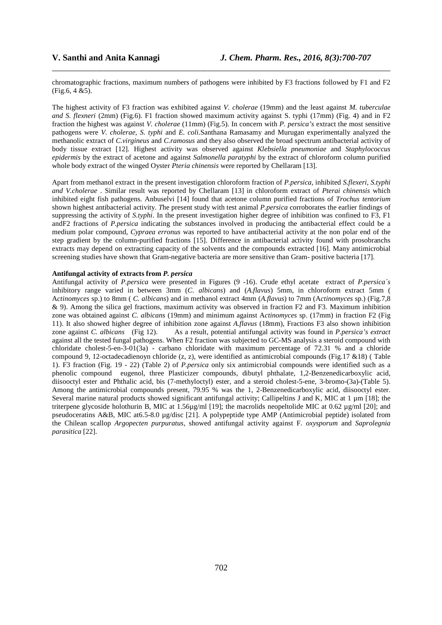chromatographic fractions, maximum numbers of pathogens were inhibited by F3 fractions followed by F1 and F2 (Fig.6, 4 &5).

\_\_\_\_\_\_\_\_\_\_\_\_\_\_\_\_\_\_\_\_\_\_\_\_\_\_\_\_\_\_\_\_\_\_\_\_\_\_\_\_\_\_\_\_\_\_\_\_\_\_\_\_\_\_\_\_\_\_\_\_\_\_\_\_\_\_\_\_\_\_\_\_\_\_\_\_\_\_

The highest activity of F3 fraction was exhibited against *V. cholerae* (19mm) and the least against *M. tuberculae and S. flexneri* (2mm) (Fig.6). F1 fraction showed maximum activity against S. typhi (17mm) (Fig. 4) and in F2 fraction the highest was against *V. cholerae* (11mm) (Fig.5). In concern with *P. persica's* extract the most sensitive pathogens were *V. cholerae, S. typhi* and *E. coli.*Santhana Ramasamy and Murugan experimentally analyzed the methanolic extract of *C.virgineus* and *C.ramosus* and they also observed the broad spectrum antibacterial activity of body tissue extract [12]. Highest activity was observed against *Klebsiella pneumoniae* and *Staphylococcus epidermis* by the extract of acetone and against *Salmonella paratyphi* by the extract of chloroform column purified whole body extract of the winged Oyster *Pteria chinensis* were reported by Chellaram [13].

Apart from methanol extract in the present investigation chloroform fraction of *P.persica,* inhibited *S.flexeri, S.typhi and V.cholerae* . Similar result was reported by Chellaram [13] in chloroform extract of *Pterai chinensis* which inhibited eight fish pathogens. Anbuselvi [14] found that acetone column purified fractions of *Trochus tentorium* shown highest antibacterial activity. *T*he present study with test animal *P.persica* corroborates the earlier findings of suppressing the activity of *S.typhi*. In the present investigation higher degree of inhibition was confined to F3, F1 andF2 fractions of *P.persica* indicating the substances involved in producing the antibacterial effect could be a medium polar compound, *Cypraea erronus* was reported to have antibacterial activity at the non polar end of the step gradient by the column-purified fractions [15]. Difference in antibacterial activity found with prosobranchs extracts may depend on extracting capacity of the solvents and the compounds extracted [16]. Many antimicrobial screening studies have shown that Gram-negative bacteria are more sensitive than Gram- positive bacteria [17].

## **Antifungal activity of extracts from** *P. persica*

Antifungal activity of *P.persica* were presented in Figures (9 -16). Crude ethyl acetate extract of *P.persica´s* inhibitory range varied in between 3mm (*C. albicans*) and (*A.flavus*) 5mm, in chloroform extract 5mm ( A*ctinomyces* sp.) to 8mm ( *C. albicans*) and in methanol extract 4mm (*A.flavus*) to 7mm (A*ctinomyces* sp.) (Fig.7,8 & 9). Among the silica gel fractions, maximum activity was observed in fraction F2 and F3. Maximum inhibition zone was obtained against *C. albicans* (19mm) and minimum against A*ctinomyces* sp. (17mm) in fraction F2 (Fig 11). It also showed higher degree of inhibition zone against *A.flavus* (18mm), Fractions F3 also shown inhibition zone against *C. albicans* (Fig 12). As a result, potential antifungal activity was found in *P.persica's extract* against all the tested fungal pathogens. When F2 fraction was subjected to GC-MS analysis a steroid compound with chloridate cholest-5-en-3-01(3a) - carbano chloridate with maximum percentage of 72.31 % and a chloride compound 9, 12-octadecadienoyn chloride (z, z), were identified as antimicrobial compounds (Fig.17 &18) ( Table 1). F3 fraction (Fig. 19 - 22) (Table 2) of *P.persica* only six antimicrobial compounds were identified such as a phenolic compound eugenol, three Plasticizer compounds, dibutyl phthalate, 1,2-Benzenedicarboxylic acid, diisooctyl ester and Phthalic acid, bis (7-methyloctyl) ester, and a steroid cholest-5-ene, 3-bromo-(3a)-(Table 5). Among the antimicrobial compounds present, 79.95 % was the 1, 2-Benzenedicarboxylic acid, diisooctyl ester. Several marine natural products showed significant antifungal activity; Callipeltins J and K, MIC at 1  $\mu$ m [18]; the triterpene glycoside holothurin B, MIC at  $1.56\mu\text{g/ml}$  [19]; the macrolids neopeltolide MIC at 0.62  $\mu\text{g/ml}$  [20]; and pseudoceratins A&B, MIC at6.5-8.0 µg/disc [21]. A polypeptide type AMP (Antimicrobial peptide) isolated from the Chilean scallop *Argopecten purpuratus*, showed antifungal activity against F*. oxysporum* and *Saprolegnia parasitica* [22].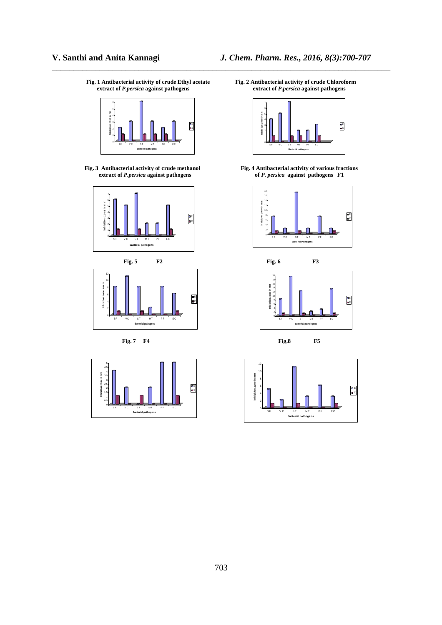**Fig. 1 Antibacterial activity of crude Ethyl acetate** Fig. 2 Antibacterial activity of crude Chloroform extract of *P.persica* against pathogens extract of *P.persica* against pathogens



**extract of** *P.persica* **against pathogens** 





**Fig. 7 F4 Fig.8 F5** 



**extract of** *P.persica* **against pathogens extract of** *P.persica* **against pathogens** 

\_\_\_\_\_\_\_\_\_\_\_\_\_\_\_\_\_\_\_\_\_\_\_\_\_\_\_\_\_\_\_\_\_\_\_\_\_\_\_\_\_\_\_\_\_\_\_\_\_\_\_\_\_\_\_\_\_\_\_\_\_\_\_\_\_\_\_\_\_\_\_\_\_\_\_\_\_\_



**Fig. 3 Antibacterial activity of crude methanol Fig. 4 Antibacterial activity of various fractions extract of** *P. persica* **against pathogens <b>F1 Fig. 4 Antibacterial activity of various fractions** 





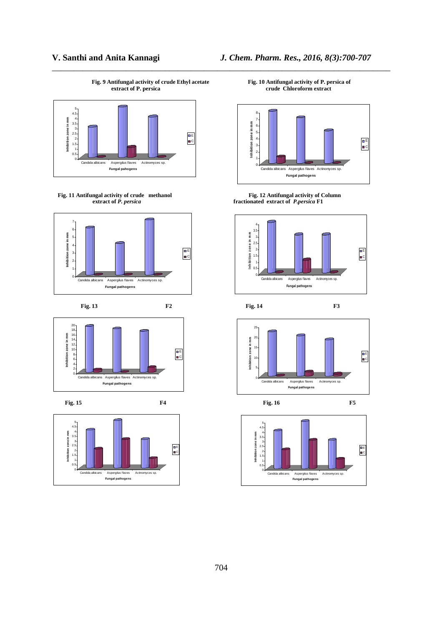**Fig. 9 Antifungal activity of crude Ethyl acetate Fig. 10 Antifungal activity of P. persica of** 

\_\_\_\_\_\_\_\_\_\_\_\_\_\_\_\_\_\_\_\_\_\_\_\_\_\_\_\_\_\_\_\_\_\_\_\_\_\_\_\_\_\_\_\_\_\_\_\_\_\_\_\_\_\_\_\_\_\_\_\_\_\_\_\_\_\_\_\_\_\_\_\_\_\_\_\_\_\_



**Fig. 11 Antifungal activity of crude** methanol<br>*Eig. 12 Antifungal activity of Column*<br>*Fig. 12 Antifungal activity of Column***<br><b>***Fig. 12 Antifungal activity of Column* 









**V. Santhi and Anita Kannagi** *J. Chem. Pharm. Res., 2016, 8(3):700-707* 

**extract of P. persica** crude Chloroform extract **crude** Chloroform extract



 **extract of** *P. persica* **fractionated extract of** *P.persica* **F1** 





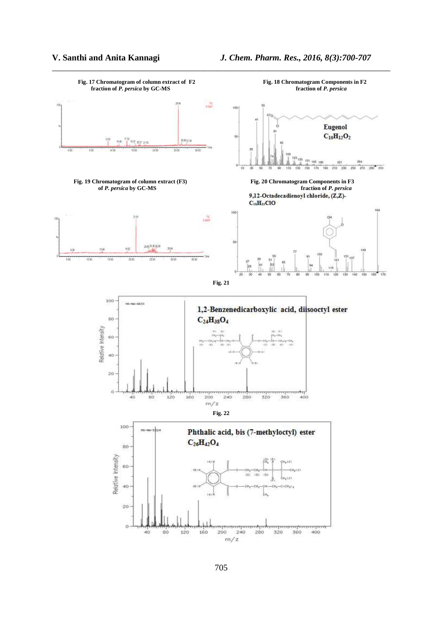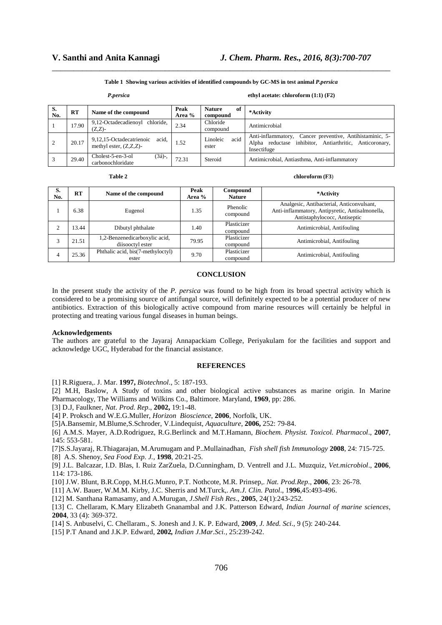**Table 1 Showing various activities of identified compounds by GC-MS in test animal** *P.persica*

\_\_\_\_\_\_\_\_\_\_\_\_\_\_\_\_\_\_\_\_\_\_\_\_\_\_\_\_\_\_\_\_\_\_\_\_\_\_\_\_\_\_\_\_\_\_\_\_\_\_\_\_\_\_\_\_\_\_\_\_\_\_\_\_\_\_\_\_\_\_\_\_\_\_\_\_\_\_

| oersica |  |
|---------|--|
|         |  |

#### *P.persica* **ethyl acetate: chloroform (1:1) (F2)**

| S.<br>No. | RT    | Name of the compound                                           | Peak<br>Area % | <b>Nature</b><br>of<br>compound | *Activity                                                                                                                             |
|-----------|-------|----------------------------------------------------------------|----------------|---------------------------------|---------------------------------------------------------------------------------------------------------------------------------------|
|           | 17.90 | 9,12-Octadecadienoyl chloride,<br>$(Z,Z)$ -                    | 2.34           | Chloride<br>compound            | Antimicrobial                                                                                                                         |
|           | 20.17 | 9,12,15-Octadecatrienoic<br>acid.<br>methyl ester, $(Z,Z,Z)$ - | 1.52           | Linoleic<br>acid<br>ester       | Cancer preventive, Antihistaminic, 5-<br>Anti-inflammatory,<br>Alpha reductase inhibitor, Antiarthritic, Anticoronary,<br>Insectifuge |
|           | 29.40 | Cholest-5-en-3-ol<br>$(3a)$ -,<br>carbonochloridate            | 72.31          | Steroid                         | Antimicrobial, Antiasthma, Anti-inflammatory                                                                                          |

|  | ۱ |  |
|--|---|--|
|  |   |  |

chloroform (F3)

| S.<br>No. | RT    | Name of the compound                              | Peak<br>Area % | Compound<br><b>Nature</b> | *Activity                                                                                                                    |
|-----------|-------|---------------------------------------------------|----------------|---------------------------|------------------------------------------------------------------------------------------------------------------------------|
|           | 6.38  | Eugenol                                           | 1.35           | Phenolic<br>compound      | Analgesic, Antibacterial, Anticonvulsant,<br>Anti-inflammatory, Antipyretic, Antisalmonella,<br>Antistaphylococc, Antiseptic |
|           | 13.44 | Dibutyl phthalate                                 | 1.40           | Plasticizer<br>compound   | Antimicrobial, Antifouling                                                                                                   |
|           | 21.51 | 1,2-Benzenedicarboxylic acid,<br>diisooctyl ester | 79.95          | Plasticizer<br>compound   | Antimicrobial, Antifouling                                                                                                   |
|           | 25.36 | Phthalic acid, bis(7-methyloctyl)<br>ester        | 9.70           | Plasticizer<br>compound   | Antimicrobial, Antifouling                                                                                                   |

## **CONCLUSION**

In the present study the activity of the *P. persica* was found to be high from its broad spectral activity which is considered to be a promising source of antifungal source, will definitely expected to be a potential producer of new antibiotics. Extraction of this biologically active compound from marine resources will certainly be helpful in protecting and treating various fungal diseases in human beings.

#### **Acknowledgements**

The authors are grateful to the Jayaraj Annapackiam College, Periyakulam for the facilities and support and acknowledge UGC, Hyderabad for the financial assistance.

#### **REFERENCES**

[1] R.Riguera,. J. Mar. **1997,** *Biotechnol*., 5: 187-193.

[2] M.H, Baslow, A Study of toxins and other biological active substances as marine origin. In Marine Pharmacology, The Williams and Wilkins Co., Baltimore. Maryland, **1969**, pp: 286.

[3] D.J, Faulkner, *Nat. Prod. Rep*., **2002,** 19:1-48.

[4] P. Proksch and W.E.G.Muller, *Horizon Bioscience*, **2006**, Norfolk, UK.

[5]A.Bansemir, M.Blume,S.Schroder, V.Lindequist, *Aquaculture*, **2006,** 252: 79-84.

[6] A.M.S. Mayer, A.D.Rodriguez, R.G.Berlinck and M.T.Hamann, *Biochem. Physist. Toxicol. Pharmacol*., **2007**, 145: 553-581.

[7]S.S.Jayaraj, R.Thiagarajan, M.Arumugam and P..Mullainadhan, *Fish shell fish Immunology* **2008**, 24: 715-725.

[8] A.S. Shenoy, *Sea Food Exp. J.,* **1998**, 20:21-25.

[9] J.L. Balcazar, I.D. Blas, I. Ruiz ZarZuela, D.Cunningham, D. Ventrell and J.L. Muzquiz, *Vet.microbiol*., **2006**, 114: 173-186.

[10] J.W. Blunt, B.R.Copp, M.H.G.Munro, P.T. Nothcote, M.R. Prinsep,. *Nat. Prod.Rep*., **2006**, 23: 26-78.

[11] A.W. Bauer, W.M.M. Kirby, J.C. Sherris and M.Turck,. *Am.J. Clin. Patol*., 1**996**,45:493-496.

[12] M. Santhana Ramasamy, and A.Murugan, *J.Shell Fish Res*., **2005**, 24(1):243-252.

[13] C. Chellaram, K.Mary Elizabeth Gnanambal and J.K. Patterson Edward, *Indian Journal of marine sciences*, **2004**, 33 (4): 369-372.

[14] S. Anbuselvi, C. Chellaram., S. Jonesh and J. K. P. Edward, **2009**, *J. Med. Sci*., 9 (5): 240-244.

[15] P.T Anand and J.K.P. Edward, **2002***, Indian J.Mar.Sci.,* 25:239-242.